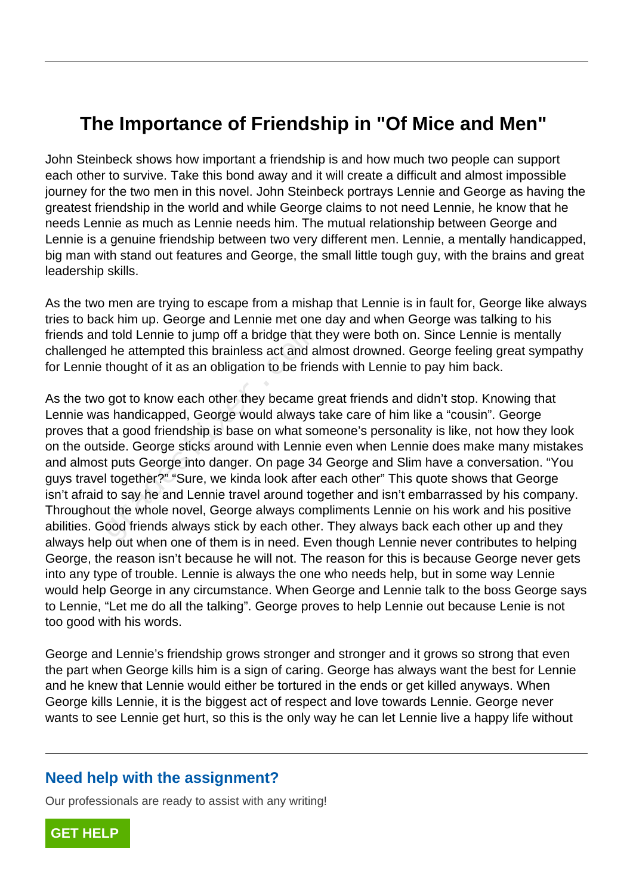## **The Importance of Friendship in "Of Mice and Men"**

John Steinbeck shows how important a friendship is and how much two people can support each other to survive. Take this bond away and it will create a difficult and almost impossible journey for the two men in this novel. John Steinbeck portrays Lennie and George as having the greatest friendship in the world and while George claims to not need Lennie, he know that he needs Lennie as much as Lennie needs him. The mutual relationship between George and Lennie is a genuine friendship between two very different men. Lennie, a mentally handicapped, big man with stand out features and George, the small little tough guy, with the brains and great leadership skills.

As the two men are trying to escape from a mishap that Lennie is in fault for, George like always tries to back him up. George and Lennie met one day and when George was talking to his friends and told Lennie to jump off a bridge that they were both on. Since Lennie is mentally challenged he attempted this brainless act and almost drowned. George feeling great sympathy for Lennie thought of it as an obligation to be friends with Lennie to pay him back.

As the two got to know each other they became great friends and didn't stop. Knowing that Lennie was handicapped, George would always take care of him like a "cousin". George proves that a good friendship is base on what someone's personality is like, not how they look on the outside. George sticks around with Lennie even when Lennie does make many mistakes and almost puts George into danger. On page 34 George and Slim have a conversation. "You guys travel together?" "Sure, we kinda look after each other" This quote shows that George isn't afraid to say he and Lennie travel around together and isn't embarrassed by his company. Throughout the whole novel, George always compliments Lennie on his work and his positive abilities. Good friends always stick by each other. They always back each other up and they always help out when one of them is in need. Even though Lennie never contributes to helping George, the reason isn't because he will not. The reason for this is because George never gets into any type of trouble. Lennie is always the one who needs help, but in some way Lennie would help George in any circumstance. When George and Lennie talk to the boss George says to Lennie, "Let me do all the talking". George proves to help Lennie out because Lenie is not too good with his words. d told Lennie to jump off a bridge that the attempted this brainless act and all thought of it as an obligation to be friend thought of it as an obligation to be friend y got to know each other they became g shandicapped,

George and Lennie's friendship grows stronger and stronger and it grows so strong that even the part when George kills him is a sign of caring. George has always want the best for Lennie and he knew that Lennie would either be tortured in the ends or get killed anyways. When George kills Lennie, it is the biggest act of respect and love towards Lennie. George never wants to see Lennie get hurt, so this is the only way he can let Lennie live a happy life without

## **Need help with the assignment?**

Our professionals are ready to assist with any writing!